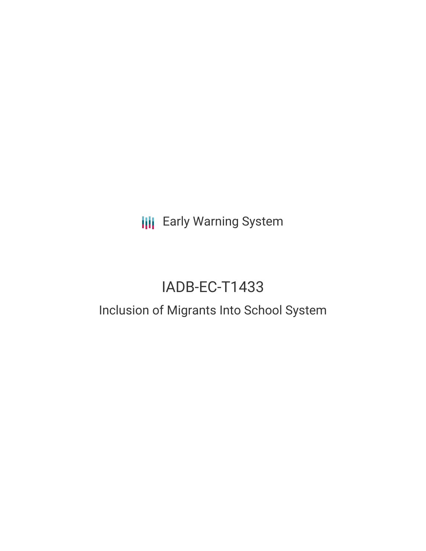**III** Early Warning System

# IADB-EC-T1433

## Inclusion of Migrants Into School System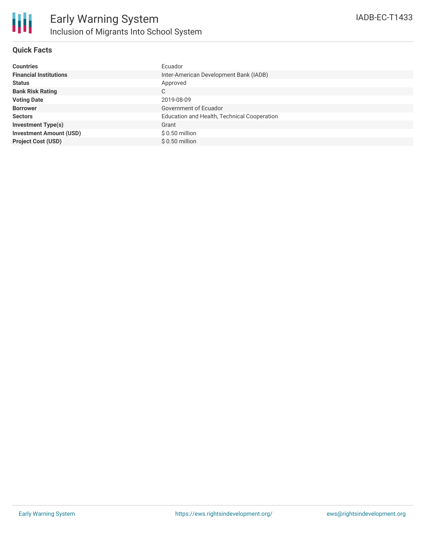#### **Quick Facts**

| <b>Countries</b>               | Ecuador                                     |
|--------------------------------|---------------------------------------------|
| <b>Financial Institutions</b>  | Inter-American Development Bank (IADB)      |
| <b>Status</b>                  | Approved                                    |
| <b>Bank Risk Rating</b>        | C                                           |
| <b>Voting Date</b>             | 2019-08-09                                  |
| <b>Borrower</b>                | Government of Ecuador                       |
| <b>Sectors</b>                 | Education and Health, Technical Cooperation |
| <b>Investment Type(s)</b>      | Grant                                       |
| <b>Investment Amount (USD)</b> | $$0.50$ million                             |
| <b>Project Cost (USD)</b>      | $$0.50$ million                             |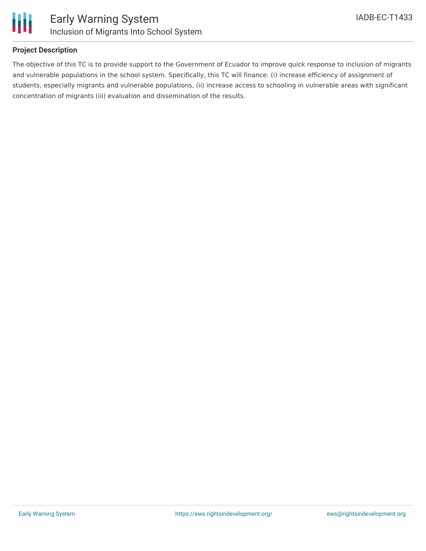



#### **Project Description**

The objective of this TC is to provide support to the Government of Ecuador to improve quick response to inclusion of migrants and vulnerable populations in the school system. Specifically, this TC will finance: (i) increase efficiency of assignment of students, especially migrants and vulnerable populations, (ii) increase access to schooling in vulnerable areas with significant concentration of migrants (iii) evaluation and dissemination of the results.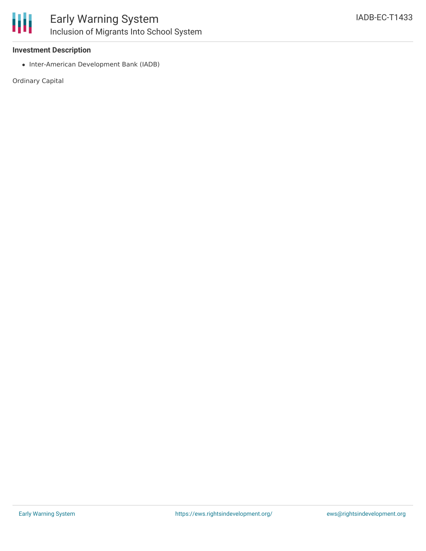

## Early Warning System Inclusion of Migrants Into School System

#### **Investment Description**

• Inter-American Development Bank (IADB)

Ordinary Capital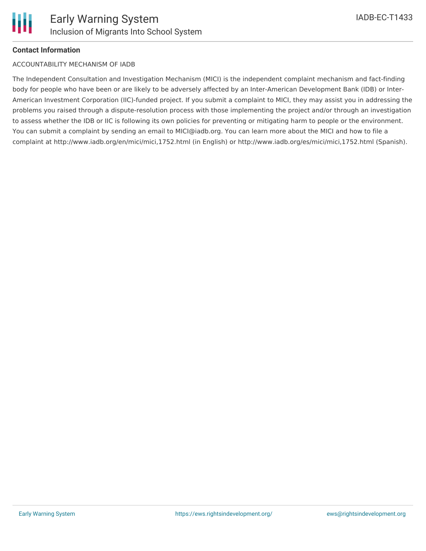

#### **Contact Information**

#### ACCOUNTABILITY MECHANISM OF IADB

The Independent Consultation and Investigation Mechanism (MICI) is the independent complaint mechanism and fact-finding body for people who have been or are likely to be adversely affected by an Inter-American Development Bank (IDB) or Inter-American Investment Corporation (IIC)-funded project. If you submit a complaint to MICI, they may assist you in addressing the problems you raised through a dispute-resolution process with those implementing the project and/or through an investigation to assess whether the IDB or IIC is following its own policies for preventing or mitigating harm to people or the environment. You can submit a complaint by sending an email to MICI@iadb.org. You can learn more about the MICI and how to file a complaint at http://www.iadb.org/en/mici/mici,1752.html (in English) or http://www.iadb.org/es/mici/mici,1752.html (Spanish).